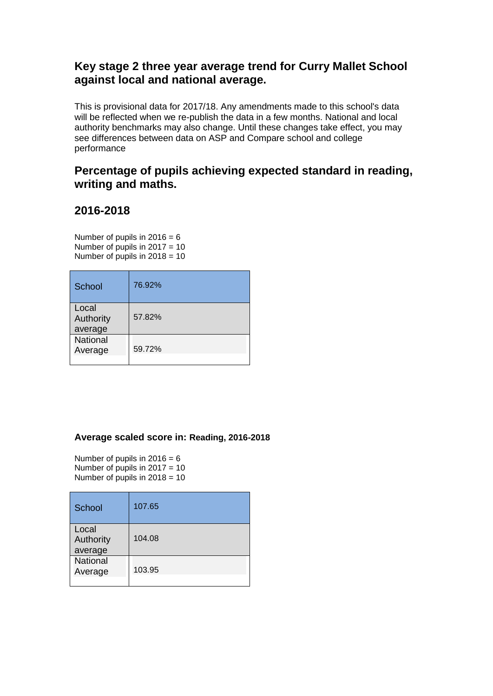## **Key stage 2 three year average trend for Curry Mallet School against local and national average.**

This is provisional data for 2017/18. Any amendments made to this school's data will be reflected when we re-publish the data in a few months. National and local authority benchmarks may also change. Until these changes take effect, you may see differences between data on ASP and Compare school and college performance

### **Percentage of pupils achieving expected standard in reading, writing and maths.**

## **2016-2018**

Number of pupils in  $2016 = 6$ Number of pupils in 2017 = 10 Number of pupils in  $2018 = 10$ 

| School                        | 76.92% |
|-------------------------------|--------|
| Local<br>Authority<br>average | 57.82% |
| <b>National</b><br>Average    | 59.72% |

#### **Average scaled score in: Reading, 2016-2018**

Number of pupils in  $2016 = 6$ Number of pupils in  $2017 = 10$ Number of pupils in  $2018 = 10$ 

| School                        | 107.65 |
|-------------------------------|--------|
| Local<br>Authority<br>average | 104.08 |
| <b>National</b><br>Average    | 103.95 |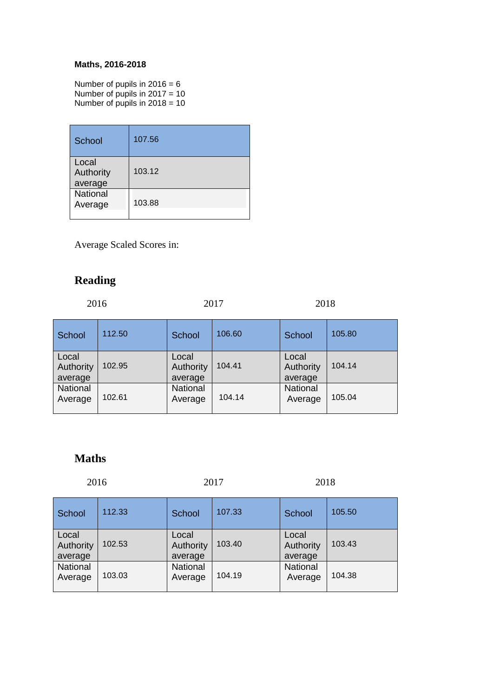#### **Maths, 2016-2018**

Number of pupils in  $2016 = 6$ Number of pupils in 2017 = 10 Number of pupils in  $2018 = 10$ 

| School                        | 107.56 |
|-------------------------------|--------|
| Local<br>Authority<br>average | 103.12 |
| <b>National</b><br>Average    | 103.88 |

Average Scaled Scores in:

# **Reading**

| 2017<br>2016 | 2018 |
|--------------|------|
|--------------|------|

| School                        | 112.50 | School                        | 106.60 | School                        | 105.80 |
|-------------------------------|--------|-------------------------------|--------|-------------------------------|--------|
| Local<br>Authority<br>average | 102.95 | Local<br>Authority<br>average | 104.41 | Local<br>Authority<br>average | 104.14 |
| National<br>Average           | 102.61 | National<br>Average           | 104.14 | National<br>Average           | 105.04 |

### **Maths**

| 2016                          |        | 2017                          |        | 2018                          |        |
|-------------------------------|--------|-------------------------------|--------|-------------------------------|--------|
| School                        | 112.33 | School                        | 107.33 | School                        | 105.50 |
| Local<br>Authority<br>average | 102.53 | Local<br>Authority<br>average | 103.40 | Local<br>Authority<br>average | 103.43 |
| <b>National</b><br>Average    | 103.03 | <b>National</b><br>Average    | 104.19 | <b>National</b><br>Average    | 104.38 |